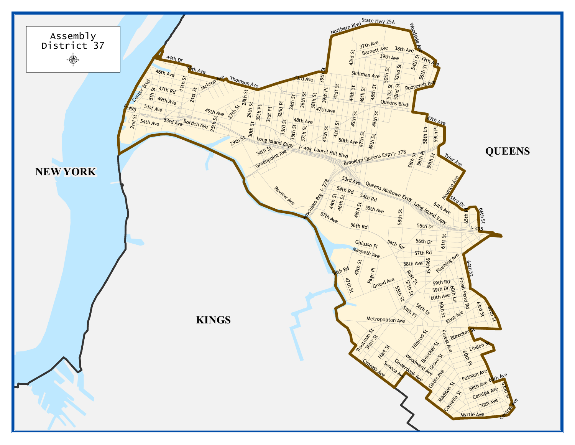